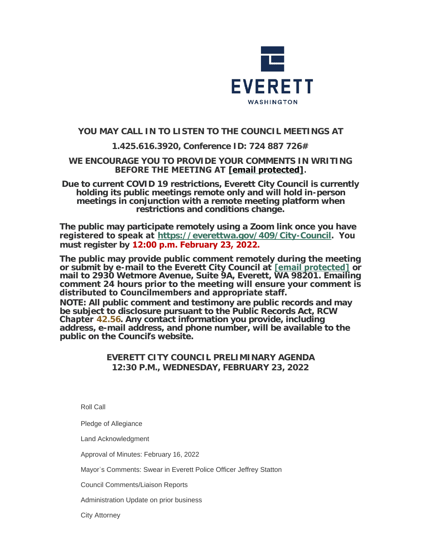

# **YOU MAY CALL IN TO LISTEN TO THE COUNCIL MEETINGS AT**

# **1.425.616.3920, Conference ID: 724 887 726#**

### **WE ENCOURAGE YOU TO PROVIDE YOUR COMMENTS IN WRITING BEFORE THE MEETING AT [\[email protected\]](https://www.everettwa.gov/cdn-cgi/l/email-protection#83c0ccd6cdc0cacfc3c6d5c6d1c6d7d7d4c2adc4ccd5).**

**Due to current COVID 19 restrictions, Everett City Council is currently holding its public meetings remote only and will hold in-person meetings in conjunction with a remote meeting platform when restrictions and conditions change.**

**The public may participate remotely using a Zoom link once you have registered to speak at <https://everettwa.gov/409/City-Council>. You must register by 12:00 p.m. February 23, 2022.** 

**The public may provide public comment remotely during the meeting or submit by e-mail to the Everett City Council at [\[email protected\]](https://www.everettwa.gov/cdn-cgi/l/email-protection) or mail to 2930 Wetmore Avenue, Suite 9A, Everett, WA 98201. Emailing comment 24 hours prior to the meeting will ensure your comment is distributed to Councilmembers and appropriate staff.**  *NOTE: All public comment and testimony are public records and may be subject to disclosure pursuant to the Public Records Act, RCW*  **Chapter** *[42.56](https://apps.leg.wa.gov/rcw/default.aspx?cite=42.56). Any contact information you provide, including address, e-mail address, and phone number, will be available to the public on the Council***'***s website.*

## **EVERETT CITY COUNCIL PRELIMINARY AGENDA 12:30 P.M., WEDNESDAY, FEBRUARY 23, 2022**

Roll Call

Pledge of Allegiance

Land Acknowledgment

Approval of Minutes: February 16, 2022

Mayor's Comments: Swear in Everett Police Officer Jeffrey Statton

Council Comments/Liaison Reports

Administration Update on prior business

City Attorney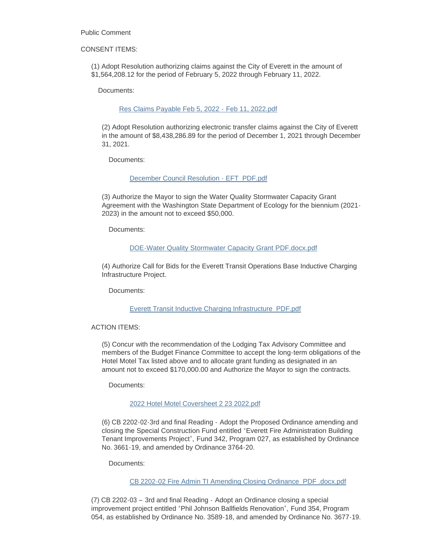Public Comment

#### CONSENT ITEMS:

(1) Adopt Resolution authorizing claims against the City of Everett in the amount of \$1,564,208.12 for the period of February 5, 2022 through February 11, 2022.

Documents:

#### [Res Claims Payable Feb 5, 2022 -](https://www.everettwa.gov/AgendaCenter/ViewFile/Item/13412?fileID=79975) Feb 11, 2022.pdf

(2) Adopt Resolution authorizing electronic transfer claims against the City of Everett in the amount of \$8,438,286.89 for the period of December 1, 2021 through December 31, 2021.

Documents:

#### [December Council Resolution - EFT\\_PDF.pdf](https://www.everettwa.gov/AgendaCenter/ViewFile/Item/13413?fileID=79976)

(3) Authorize the Mayor to sign the Water Quality Stormwater Capacity Grant Agreement with the Washington State Department of Ecology for the biennium (2021- 2023) in the amount not to exceed \$50,000.

Documents:

#### [DOE-Water Quality Stormwater Capacity Grant PDF.docx.pdf](https://www.everettwa.gov/AgendaCenter/ViewFile/Item/13414?fileID=79977)

(4) Authorize Call for Bids for the Everett Transit Operations Base Inductive Charging Infrastructure Project.

Documents:

#### [Everett Transit Inductive Charging Infrastructure\\_PDF.pdf](https://www.everettwa.gov/AgendaCenter/ViewFile/Item/13415?fileID=79978)

#### ACTION ITEMS:

(5) Concur with the recommendation of the Lodging Tax Advisory Committee and members of the Budget Finance Committee to accept the long-term obligations of the Hotel Motel Tax listed above and to allocate grant funding as designated in an amount not to exceed \$170,000.00 and Authorize the Mayor to sign the contracts.

Documents:

#### [2022 Hotel Motel Coversheet 2 23 2022.pdf](https://www.everettwa.gov/AgendaCenter/ViewFile/Item/13416?fileID=79979)

(6) CB 2202-02-3rd and final Reading - Adopt the Proposed Ordinance amending and closing the Special Construction Fund entitled "Everett Fire Administration Building Tenant Improvements Project", Fund 342, Program 027, as established by Ordinance No. 3661-19, and amended by Ordinance 3764-20.

Documents:

#### [CB 2202-02 Fire Admin TI Amending Closing Ordinance\\_PDF .docx.pdf](https://www.everettwa.gov/AgendaCenter/ViewFile/Item/13417?fileID=79980)

(7) CB 2202-03 – 3rd and final Reading - Adopt an Ordinance closing a special improvement project entitled "Phil Johnson Ballfields Renovation", Fund 354, Program 054, as established by Ordinance No. 3589-18, and amended by Ordinance No. 3677-19.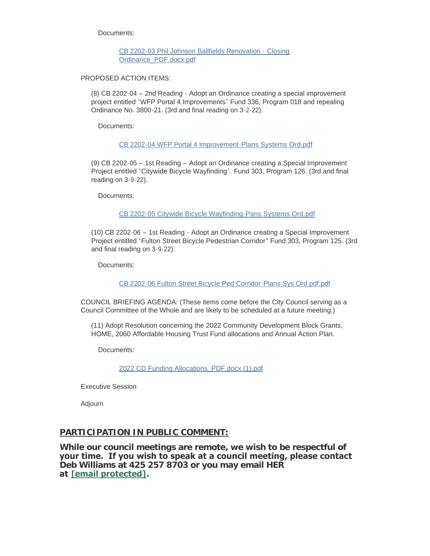Documents:

[CB 2202-03 Phil Johnson Ballfields Renovation -](https://www.everettwa.gov/AgendaCenter/ViewFile/Item/13418?fileID=79981) Closing Ordinance\_PDF.docx.pdf

PROPOSED ACTION ITEMS:

(8) CB 2202-04 – 2nd Reading - Adopt an Ordinance creating a special improvement project entitled "WFP Portal 4 Improvements" Fund 336, Program 018 and repealing Ordinance No. 3800-21. (3rd and final reading on 3-2-22).

Documents:

[CB 2202-04 WFP Portal 4 Improvement-Plans Systems Ord.pdf](https://www.everettwa.gov/AgendaCenter/ViewFile/Item/13419?fileID=79982)

(9) CB 2202-05 – 1st Reading – Adopt an Ordinance creating a Special Improvement Project entitled "Citywide Bicycle Wayfinding". Fund 303, Program 126. (3rd and final reading on 3-9-22).

Documents:

[CB 2202-05 Citywide Bicycle Wayfinding-Pans Systems Ord.pdf](https://www.everettwa.gov/AgendaCenter/ViewFile/Item/13420?fileID=79983)

(10) CB 2202-06 – 1st Reading - Adopt an Ordinance creating a Special Improvement Project entitled "Fulton Street Bicycle Pedestrian Corridor" Fund 303, Program 125. (3rd and final reading on 3-9-22).

Documents:

[CB 2202-06 Fulton Street Bicycle Ped Corridor-Plans Sys Ord pdf.pdf](https://www.everettwa.gov/AgendaCenter/ViewFile/Item/13421?fileID=79984)

COUNCIL BRIEFING AGENDA: (These items come before the City Council serving as a Council Committee of the Whole and are likely to be scheduled at a future meeting.)

(11) Adopt Resolution concerning the 2022 Community Development Block Grants, HOME, 2060 Affordable Housing Trust Fund allocations and Annual Action Plan.

Documents:

[2022 CD Funding Allocations\\_PDF.docx \(1\).pdf](https://www.everettwa.gov/AgendaCenter/ViewFile/Item/13422?fileID=79985)

Executive Session

Adjourn

### **PARTICIPATION IN PUBLIC COMMENT:**

**While our council meetings are remote, we wish to be respectful of your time. If you wish to speak at a council meeting, please contact Deb Williams at 425 257 8703 or you may email HER at [\[email protected\].](https://www.everettwa.gov/cdn-cgi/l/email-protection#6602110f0a0a0f070b152603100314031212110748010910)**